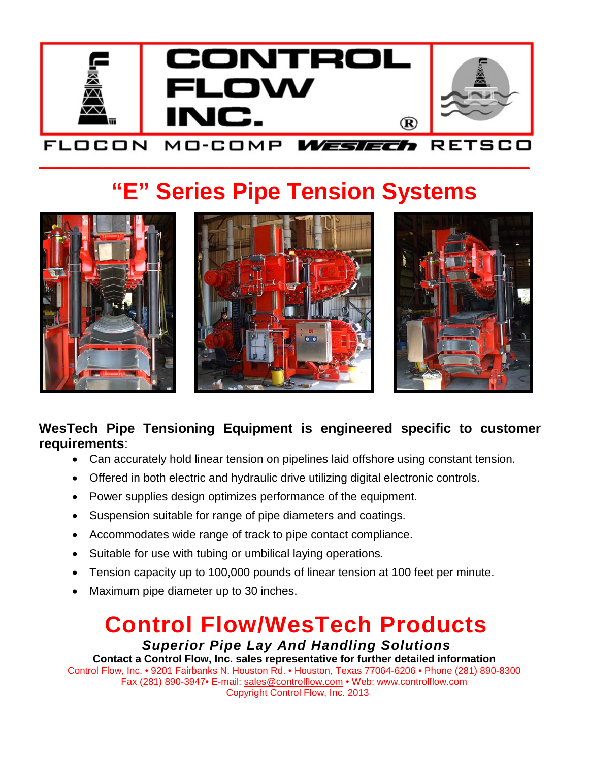

\_\_\_\_\_\_\_\_\_\_\_\_\_\_\_\_\_\_\_\_\_\_\_\_\_\_\_\_\_\_\_\_\_\_\_\_\_\_\_\_\_\_\_\_\_\_\_\_\_\_\_\_\_\_\_\_\_\_\_\_\_\_\_\_\_\_\_\_\_\_\_\_\_\_\_\_\_\_\_\_\_\_\_\_\_

# **"E" Series Pipe Tension Systems**







### **WesTech Pipe Tensioning Equipment is engineered specific to customer requirements**:

- Can accurately hold linear tension on pipelines laid offshore using constant tension.
- Offered in both electric and hydraulic drive utilizing digital electronic controls.
- Power supplies design optimizes performance of the equipment.
- Suspension suitable for range of pipe diameters and coatings.
- Accommodates wide range of track to pipe contact compliance.
- Suitable for use with tubing or umbilical laying operations.
- Tension capacity up to 100,000 pounds of linear tension at 100 feet per minute.
- Maximum pipe diameter up to 30 inches.

### **Control Flow/WesTech Products** *Superior Pipe Lay And Handling Solutions*

**Contact a Control Flow, Inc. sales representative for further detailed information** Control Flow, Inc. • 9201 Fairbanks N. Houston Rd. • Houston, Texas 77064-6206 • Phone (281) 890-8300 Fax (281) 890-3947• E-mail: [sales@controlflow.com](mailto:sales@controlflow.com) • Web: www.controlflow.com Copyright Control Flow, Inc. 2013